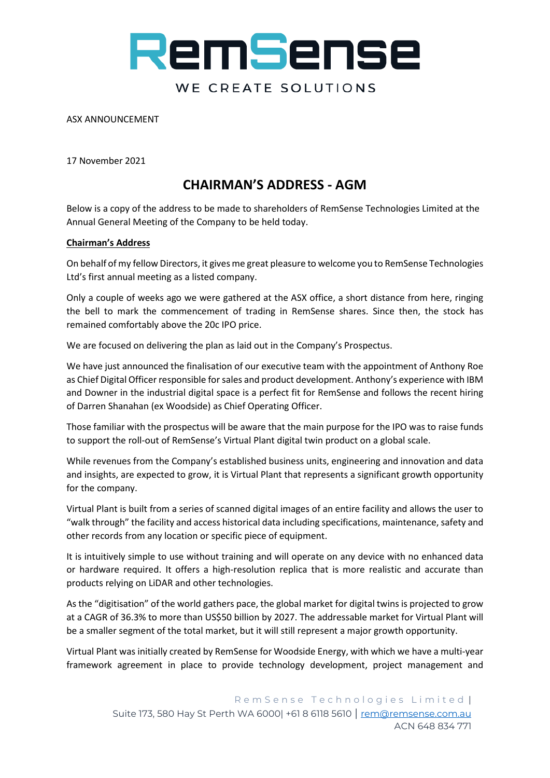# RemSense WE CREATE SOLUTIONS

ASX ANNOUNCEMENT

17 November 2021

## **CHAIRMAN'S ADDRESS - AGM**

Below is a copy of the address to be made to shareholders of RemSense Technologies Limited at the Annual General Meeting of the Company to be held today.

### **Chairman's Address**

On behalf of my fellow Directors, it gives me great pleasure to welcome you to RemSense Technologies Ltd's first annual meeting as a listed company.

Only a couple of weeks ago we were gathered at the ASX office, a short distance from here, ringing the bell to mark the commencement of trading in RemSense shares. Since then, the stock has remained comfortably above the 20c IPO price.

We are focused on delivering the plan as laid out in the Company's Prospectus.

We have just announced the finalisation of our executive team with the appointment of Anthony Roe as Chief Digital Officer responsible for sales and product development. Anthony's experience with IBM and Downer in the industrial digital space is a perfect fit for RemSense and follows the recent hiring of Darren Shanahan (ex Woodside) as Chief Operating Officer.

Those familiar with the prospectus will be aware that the main purpose for the IPO was to raise funds to support the roll-out of RemSense's Virtual Plant digital twin product on a global scale.

While revenues from the Company's established business units, engineering and innovation and data and insights, are expected to grow, it is Virtual Plant that represents a significant growth opportunity for the company.

Virtual Plant is built from a series of scanned digital images of an entire facility and allows the user to "walk through" the facility and access historical data including specifications, maintenance, safety and other records from any location or specific piece of equipment.

It is intuitively simple to use without training and will operate on any device with no enhanced data or hardware required. It offers a high-resolution replica that is more realistic and accurate than products relying on LiDAR and other technologies.

As the "digitisation" of the world gathers pace, the global market for digital twins is projected to grow at a CAGR of 36.3% to more than US\$50 billion by 2027. The addressable market for Virtual Plant will be a smaller segment of the total market, but it will still represent a major growth opportunity.

Virtual Plant was initially created by RemSense for Woodside Energy, with which we have a multi-year framework agreement in place to provide technology development, project management and